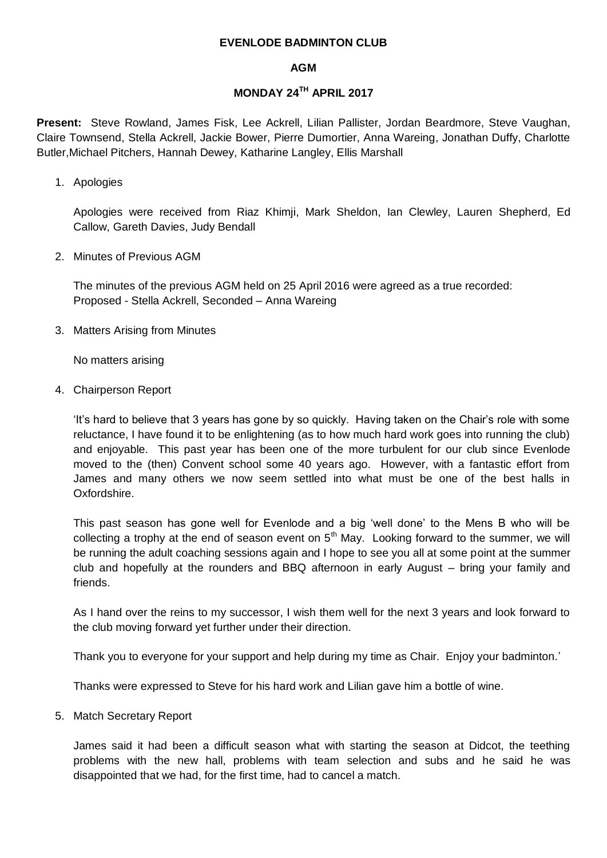## **EVENLODE BADMINTON CLUB**

## **AGM**

## **MONDAY 24TH APRIL 2017**

**Present:** Steve Rowland, James Fisk, Lee Ackrell, Lilian Pallister, Jordan Beardmore, Steve Vaughan, Claire Townsend, Stella Ackrell, Jackie Bower, Pierre Dumortier, Anna Wareing, Jonathan Duffy, Charlotte Butler,Michael Pitchers, Hannah Dewey, Katharine Langley, Ellis Marshall

1. Apologies

Apologies were received from Riaz Khimji, Mark Sheldon, Ian Clewley, Lauren Shepherd, Ed Callow, Gareth Davies, Judy Bendall

2. Minutes of Previous AGM

The minutes of the previous AGM held on 25 April 2016 were agreed as a true recorded: Proposed - Stella Ackrell, Seconded – Anna Wareing

3. Matters Arising from Minutes

No matters arising

4. Chairperson Report

'It's hard to believe that 3 years has gone by so quickly. Having taken on the Chair's role with some reluctance, I have found it to be enlightening (as to how much hard work goes into running the club) and enjoyable. This past year has been one of the more turbulent for our club since Evenlode moved to the (then) Convent school some 40 years ago. However, with a fantastic effort from James and many others we now seem settled into what must be one of the best halls in Oxfordshire.

This past season has gone well for Evenlode and a big 'well done' to the Mens B who will be collecting a trophy at the end of season event on  $5<sup>th</sup>$  May. Looking forward to the summer, we will be running the adult coaching sessions again and I hope to see you all at some point at the summer club and hopefully at the rounders and BBQ afternoon in early August – bring your family and friends.

As I hand over the reins to my successor, I wish them well for the next 3 years and look forward to the club moving forward yet further under their direction.

Thank you to everyone for your support and help during my time as Chair. Enjoy your badminton.'

Thanks were expressed to Steve for his hard work and Lilian gave him a bottle of wine.

5. Match Secretary Report

James said it had been a difficult season what with starting the season at Didcot, the teething problems with the new hall, problems with team selection and subs and he said he was disappointed that we had, for the first time, had to cancel a match.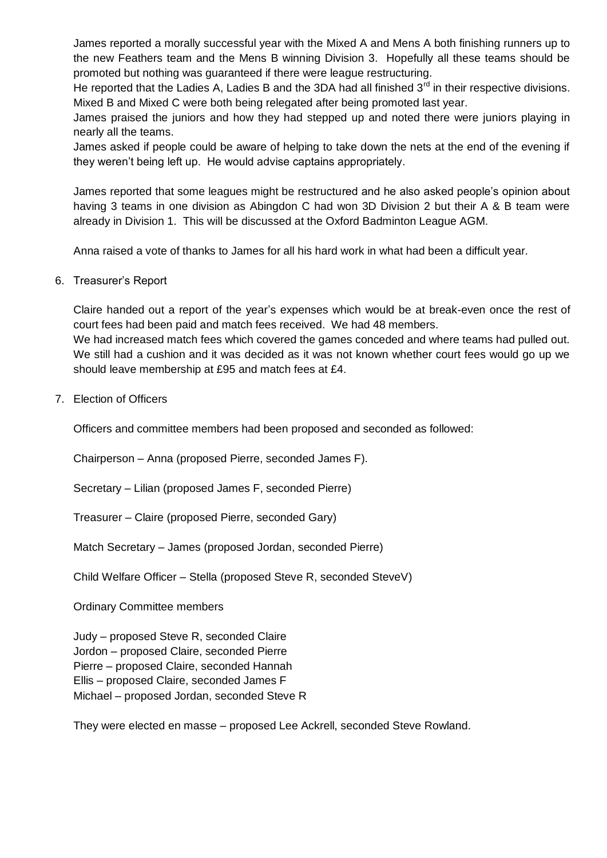James reported a morally successful year with the Mixed A and Mens A both finishing runners up to the new Feathers team and the Mens B winning Division 3. Hopefully all these teams should be promoted but nothing was guaranteed if there were league restructuring.

He reported that the Ladies A, Ladies B and the 3DA had all finished  $3<sup>rd</sup>$  in their respective divisions. Mixed B and Mixed C were both being relegated after being promoted last year.

James praised the juniors and how they had stepped up and noted there were juniors playing in nearly all the teams.

James asked if people could be aware of helping to take down the nets at the end of the evening if they weren't being left up. He would advise captains appropriately.

James reported that some leagues might be restructured and he also asked people's opinion about having 3 teams in one division as Abingdon C had won 3D Division 2 but their A & B team were already in Division 1. This will be discussed at the Oxford Badminton League AGM.

Anna raised a vote of thanks to James for all his hard work in what had been a difficult year.

6. Treasurer's Report

Claire handed out a report of the year's expenses which would be at break-even once the rest of court fees had been paid and match fees received. We had 48 members.

We had increased match fees which covered the games conceded and where teams had pulled out. We still had a cushion and it was decided as it was not known whether court fees would go up we should leave membership at £95 and match fees at £4.

7. Election of Officers

Officers and committee members had been proposed and seconded as followed:

Chairperson – Anna (proposed Pierre, seconded James F).

Secretary – Lilian (proposed James F, seconded Pierre)

Treasurer – Claire (proposed Pierre, seconded Gary)

Match Secretary – James (proposed Jordan, seconded Pierre)

Child Welfare Officer – Stella (proposed Steve R, seconded SteveV)

Ordinary Committee members

Judy – proposed Steve R, seconded Claire Jordon – proposed Claire, seconded Pierre Pierre – proposed Claire, seconded Hannah Ellis – proposed Claire, seconded James F Michael – proposed Jordan, seconded Steve R

They were elected en masse – proposed Lee Ackrell, seconded Steve Rowland.